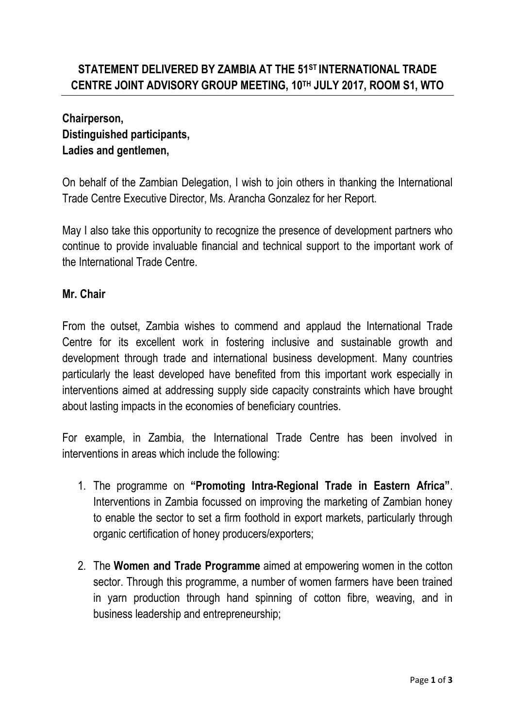## **Chairperson, Distinguished participants, Ladies and gentlemen,**

On behalf of the Zambian Delegation, I wish to join others in thanking the International Trade Centre Executive Director, Ms. Arancha Gonzalez for her Report.

May I also take this opportunity to recognize the presence of development partners who continue to provide invaluable financial and technical support to the important work of the International Trade Centre.

## **Mr. Chair**

From the outset, Zambia wishes to commend and applaud the International Trade Centre for its excellent work in fostering inclusive and sustainable growth and development through trade and international business development. Many countries particularly the least developed have benefited from this important work especially in interventions aimed at addressing supply side capacity constraints which have brought about lasting impacts in the economies of beneficiary countries.

For example, in Zambia, the International Trade Centre has been involved in interventions in areas which include the following:

- 1. The programme on **"Promoting Intra-Regional Trade in Eastern Africa"**. Interventions in Zambia focussed on improving the marketing of Zambian honey to enable the sector to set a firm foothold in export markets, particularly through organic certification of honey producers/exporters;
- 2. The **Women and Trade Programme** aimed at empowering women in the cotton sector. Through this programme, a number of women farmers have been trained in yarn production through hand spinning of cotton fibre, weaving, and in business leadership and entrepreneurship;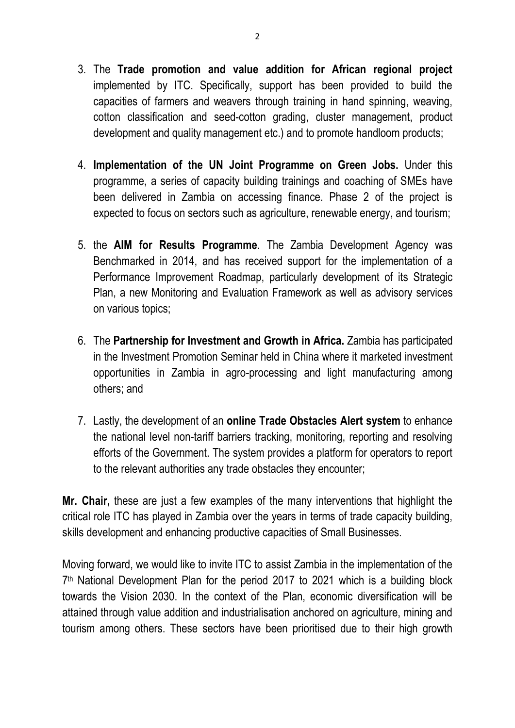- 3. The **Trade promotion and value addition for African regional project** implemented by ITC. Specifically, support has been provided to build the capacities of farmers and weavers through training in hand spinning, weaving, cotton classification and seed-cotton grading, cluster management, product development and quality management etc.) and to promote handloom products;
- 4. **Implementation of the UN Joint Programme on Green Jobs.** Under this programme, a series of capacity building trainings and coaching of SMEs have been delivered in Zambia on accessing finance. Phase 2 of the project is expected to focus on sectors such as agriculture, renewable energy, and tourism;
- 5. the **AIM for Results Programme**. The Zambia Development Agency was Benchmarked in 2014, and has received support for the implementation of a Performance Improvement Roadmap, particularly development of its Strategic Plan, a new Monitoring and Evaluation Framework as well as advisory services on various topics;
- 6. The **Partnership for Investment and Growth in Africa.** Zambia has participated in the Investment Promotion Seminar held in China where it marketed investment opportunities in Zambia in agro-processing and light manufacturing among others; and
- 7. Lastly, the development of an **online Trade Obstacles Alert system** to enhance the national level non-tariff barriers tracking, monitoring, reporting and resolving efforts of the Government. The system provides a platform for operators to report to the relevant authorities any trade obstacles they encounter;

**Mr. Chair,** these are just a few examples of the many interventions that highlight the critical role ITC has played in Zambia over the years in terms of trade capacity building, skills development and enhancing productive capacities of Small Businesses.

Moving forward, we would like to invite ITC to assist Zambia in the implementation of the 7 th National Development Plan for the period 2017 to 2021 which is a building block towards the Vision 2030. In the context of the Plan, economic diversification will be attained through value addition and industrialisation anchored on agriculture, mining and tourism among others. These sectors have been prioritised due to their high growth